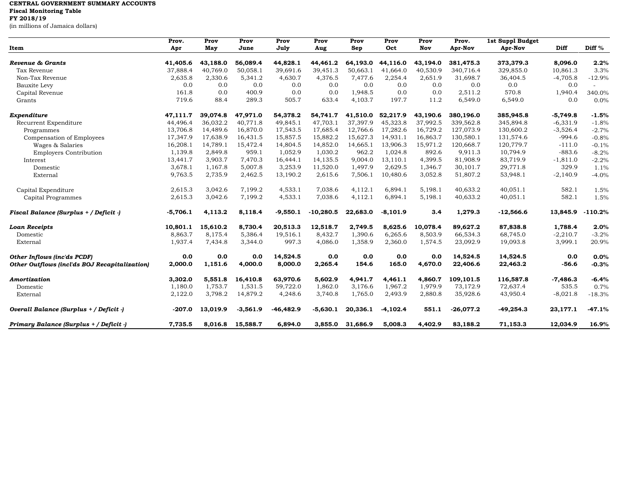## **CENTRAL GOVERNMENT SUMMARY ACCOUNTS Fiscal Monitoring Table**

**FY 2018/19**

(in millions of Jamaica dollars)

| Item                                          | Prov.<br>Apr | Prov<br>May | Prov<br>June | Prov<br>July | Prov<br>Aug | Prov<br>Sep | Prov<br>Oct | Prov<br>Nov | Prov.<br>Apr-Nov | 1st Suppl Budget<br>Apr-Nov | Diff       | Diff %    |
|-----------------------------------------------|--------------|-------------|--------------|--------------|-------------|-------------|-------------|-------------|------------------|-----------------------------|------------|-----------|
| Revenue & Grants                              | 41,405.6     | 43,188.0    | 56,089.4     | 44,828.1     | 44,461.2    | 64,193.0    | 44,116.0    | 43,194.0    | 381,475.3        | 373,379.3                   | 8,096.0    | 2.2%      |
| Tax Revenue                                   | 37,888.4     | 40,769.0    | 50,058.1     | 39,691.6     | 39,451.3    | 50,663.1    | 41,664.0    | 40,530.9    | 340,716.4        | 329,855.0                   | 10,861.3   | 3.3%      |
| Non-Tax Revenue                               | 2,635.8      | 2,330.6     | 5,341.2      | 4,630.7      | 4,376.5     | 7,477.6     | 2,254.4     | 2,651.9     | 31,698.7         | 36,404.5                    | $-4,705.8$ | $-12.9%$  |
| Bauxite Levy                                  | 0.0          | 0.0         | 0.0          | 0.0          | 0.0         | 0.0         | 0.0         | 0.0         | 0.0              | 0.0                         | 0.0        |           |
| Capital Revenue                               | 161.8        | 0.0         | 400.9        | 0.0          | 0.0         | 1,948.5     | 0.0         | 0.0         | 2,511.2          | 570.8                       | 1,940.4    | 340.0%    |
| Grants                                        | 719.6        | 88.4        | 289.3        | 505.7        | 633.4       | 4,103.7     | 197.7       | 11.2        | 6,549.0          | 6,549.0                     | 0.0        | 0.0%      |
| Expenditure                                   | 47,111.7     | 39,074.8    | 47,971.0     | 54,378.2     | 54,741.7    | 41,510.0    | 52,217.9    | 43,190.6    | 380,196.0        | 385,945.8                   | $-5,749.8$ | $-1.5%$   |
| Recurrent Expenditure                         | 44,496.4     | 36,032.2    | 40,771.8     | 49,845.1     | 47,703.1    | 37,397.9    | 45,323.8    | 37,992.5    | 339,562.8        | 345,894.8                   | $-6,331.9$ | $-1.8%$   |
| Programmes                                    | 13,706.8     | 14,489.6    | 16,870.0     | 17,543.5     | 17,685.4    | 12,766.6    | 17,282.6    | 16,729.2    | 127,073.9        | 130,600.2                   | $-3,526.4$ | $-2.7%$   |
| Compensation of Employees                     | 17,347.9     | 17,638.9    | 16,431.5     | 15,857.5     | 15,882.2    | 15,627.3    | 14,931.1    | 16,863.7    | 130,580.1        | 131,574.6                   | $-994.6$   | $-0.8%$   |
| Wages & Salaries                              | 16,208.1     | 14,789.1    | 15,472.4     | 14,804.5     | 14,852.0    | 14,665.1    | 13,906.3    | 15,971.2    | 120,668.7        | 120,779.7                   | $-111.0$   | $-0.1%$   |
| <b>Employers Contribution</b>                 | 1,139.8      | 2,849.8     | 959.1        | 1,052.9      | 1,030.2     | 962.2       | 1,024.8     | 892.6       | 9,911.3          | 10,794.9                    | $-883.6$   | $-8.2%$   |
| Interest                                      | 13,441.7     | 3,903.7     | 7,470.3      | 16,444.1     | 14,135.5    | 9,004.0     | 13,110.1    | 4,399.5     | 81,908.9         | 83,719.9                    | $-1,811.0$ | $-2.2%$   |
| Domestic                                      | 3,678.1      | 1,167.8     | 5,007.8      | 3,253.9      | 11,520.0    | 1,497.9     | 2,629.5     | 1,346.7     | 30,101.7         | 29,771.8                    | 329.9      | 1.1%      |
| External                                      | 9,763.5      | 2,735.9     | 2,462.5      | 13,190.2     | 2,615.6     | 7,506.1     | 10,480.6    | 3,052.8     | 51,807.2         | 53,948.1                    | $-2,140.9$ | $-4.0%$   |
| Capital Expenditure                           | 2,615.3      | 3,042.6     | 7,199.2      | 4,533.1      | 7,038.6     | 4,112.1     | 6,894.1     | 5,198.1     | 40,633.2         | 40,051.1                    | 582.1      | 1.5%      |
| Capital Programmes                            | 2,615.3      | 3,042.6     | 7,199.2      | 4,533.1      | 7,038.6     | 4,112.1     | 6,894.1     | 5,198.1     | 40,633.2         | 40,051.1                    | 582.1      | 1.5%      |
| Fiscal Balance (Surplus + / Deficit -)        | $-5,706.1$   | 4,113.2     | 8,118.4      | $-9,550.1$   | $-10,280.5$ | 22,683.0    | $-8,101.9$  | 3.4         | 1,279.3          | $-12,566.6$                 | 13,845.9   | $-110.2%$ |
| <b>Loan Receipts</b>                          | 10,801.1     | 15,610.2    | 8,730.4      | 20,513.3     | 12,518.7    | 2,749.5     | 8,625.6     | 10,078.4    | 89,627.2         | 87,838.8                    | 1,788.4    | 2.0%      |
| Domestic                                      | 8,863.7      | 8,175.4     | 5,386.4      | 19,516.1     | 8,432.7     | 1,390.6     | 6,265.6     | 8,503.9     | 66,534.3         | 68,745.0                    | $-2,210.7$ | $-3.2%$   |
| External                                      | 1,937.4      | 7,434.8     | 3,344.0      | 997.3        | 4,086.0     | 1,358.9     | 2,360.0     | 1,574.5     | 23,092.9         | 19,093.8                    | 3,999.1    | 20.9%     |
| Other Inflows (inc'ds PCDF)                   | 0.0          | 0.0         | 0.0          | 14,524.5     | 0.0         | 0.0         | 0.0         | 0.0         | 14,524.5         | 14,524.5                    | 0.0        | 0.0%      |
| Other Outflows (incl'ds BOJ Recapitalization) | 2,000.0      | 1,151.6     | 4,000.0      | 8,000.0      | 2,265.4     | 154.6       | 165.0       | 4,670.0     | 22,406.6         | 22,463.2                    | $-56.6$    | $-0.3%$   |
| Amortization                                  | 3,302.0      | 5,551.8     | 16,410.8     | 63,970.6     | 5,602.9     | 4,941.7     | 4,461.1     | 4,860.7     | 109,101.5        | 116,587.8                   | $-7,486.3$ | $-6.4%$   |
| Domestic                                      | 1,180.0      | 1,753.7     | 1,531.5      | 59,722.0     | 1,862.0     | 3,176.6     | 1,967.2     | 1,979.9     | 73,172.9         | 72,637.4                    | 535.5      | 0.7%      |
| External                                      | 2,122.0      | 3,798.2     | 14,879.2     | 4,248.6      | 3,740.8     | 1,765.0     | 2,493.9     | 2,880.8     | 35,928.6         | 43,950.4                    | $-8,021.8$ | $-18.3%$  |
| Overall Balance (Surplus + / Deficit -)       | $-207.0$     | 13,019.9    | $-3,561.9$   | $-46, 482.9$ | $-5,630.1$  | 20,336.1    | $-4,102.4$  | 551.1       | $-26,077.2$      | $-49,254.3$                 | 23,177.1   | $-47.1%$  |
| Primary Balance (Surplus + / Deficit -)       | 7,735.5      | 8,016.8     | 15,588.7     | 6,894.0      | 3,855.0     | 31,686.9    | 5,008.3     | 4,402.9     | 83,188.2         | 71,153.3                    | 12,034.9   | 16.9%     |